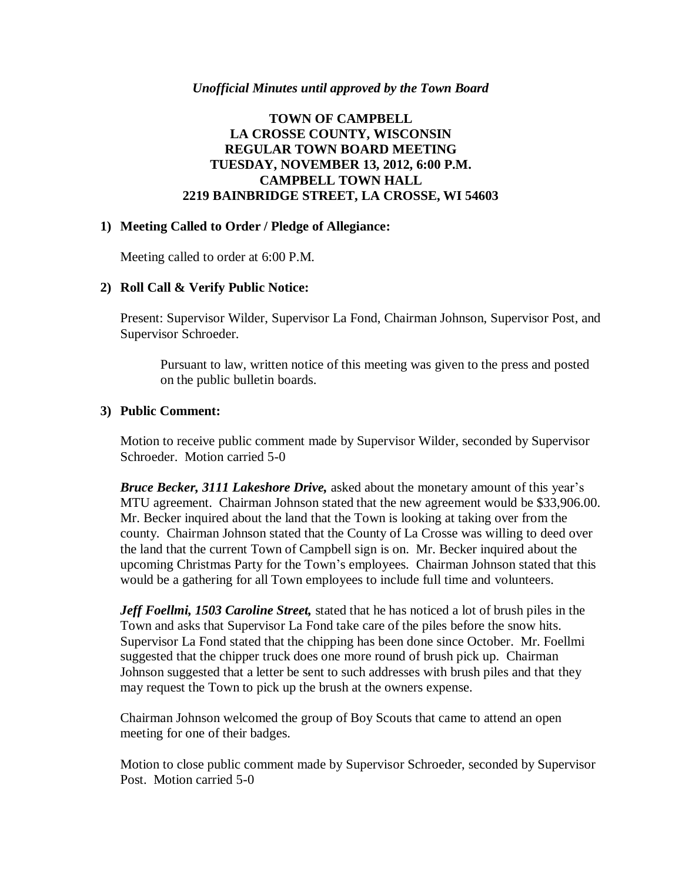#### *Unofficial Minutes until approved by the Town Board*

### **TOWN OF CAMPBELL LA CROSSE COUNTY, WISCONSIN REGULAR TOWN BOARD MEETING TUESDAY, NOVEMBER 13, 2012, 6:00 P.M. CAMPBELL TOWN HALL 2219 BAINBRIDGE STREET, LA CROSSE, WI 54603**

#### **1) Meeting Called to Order / Pledge of Allegiance:**

Meeting called to order at 6:00 P.M.

### **2) Roll Call & Verify Public Notice:**

Present: Supervisor Wilder, Supervisor La Fond, Chairman Johnson, Supervisor Post, and Supervisor Schroeder.

Pursuant to law, written notice of this meeting was given to the press and posted on the public bulletin boards.

#### **3) Public Comment:**

Motion to receive public comment made by Supervisor Wilder, seconded by Supervisor Schroeder. Motion carried 5-0

*Bruce Becker, 3111 Lakeshore Drive,* asked about the monetary amount of this year's MTU agreement. Chairman Johnson stated that the new agreement would be \$33,906.00. Mr. Becker inquired about the land that the Town is looking at taking over from the county. Chairman Johnson stated that the County of La Crosse was willing to deed over the land that the current Town of Campbell sign is on. Mr. Becker inquired about the upcoming Christmas Party for the Town's employees. Chairman Johnson stated that this would be a gathering for all Town employees to include full time and volunteers.

*Jeff Foellmi, 1503 Caroline Street,* stated that he has noticed a lot of brush piles in the Town and asks that Supervisor La Fond take care of the piles before the snow hits. Supervisor La Fond stated that the chipping has been done since October. Mr. Foellmi suggested that the chipper truck does one more round of brush pick up. Chairman Johnson suggested that a letter be sent to such addresses with brush piles and that they may request the Town to pick up the brush at the owners expense.

Chairman Johnson welcomed the group of Boy Scouts that came to attend an open meeting for one of their badges.

Motion to close public comment made by Supervisor Schroeder, seconded by Supervisor Post. Motion carried 5-0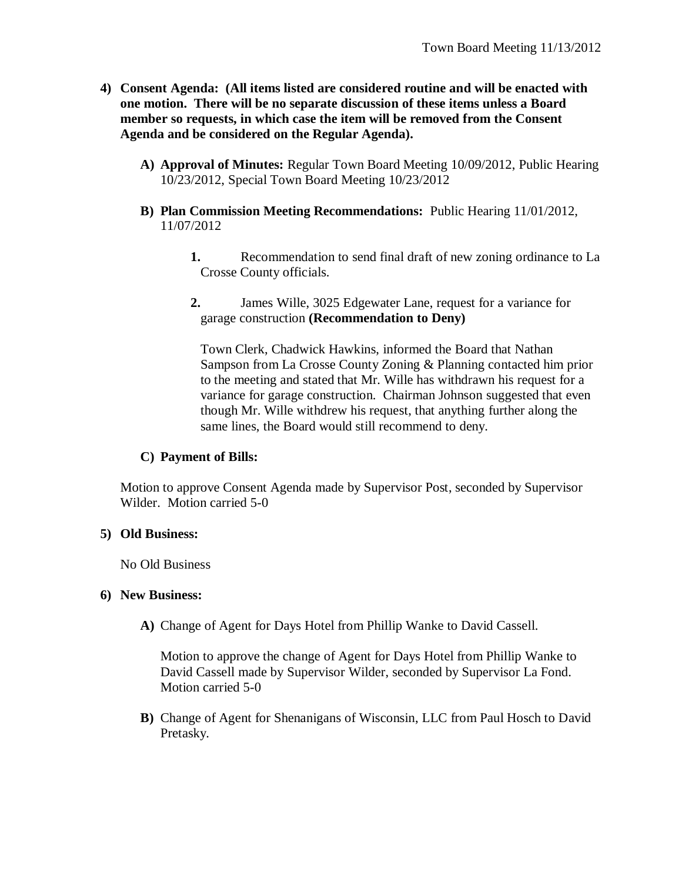- **4) Consent Agenda: (All items listed are considered routine and will be enacted with one motion. There will be no separate discussion of these items unless a Board member so requests, in which case the item will be removed from the Consent Agenda and be considered on the Regular Agenda).**
	- **A) Approval of Minutes:** Regular Town Board Meeting 10/09/2012, Public Hearing 10/23/2012, Special Town Board Meeting 10/23/2012
	- **B) Plan Commission Meeting Recommendations:** Public Hearing 11/01/2012, 11/07/2012
		- **1.** Recommendation to send final draft of new zoning ordinance to La Crosse County officials.
		- **2.** James Wille, 3025 Edgewater Lane, request for a variance for garage construction **(Recommendation to Deny)**

Town Clerk, Chadwick Hawkins, informed the Board that Nathan Sampson from La Crosse County Zoning & Planning contacted him prior to the meeting and stated that Mr. Wille has withdrawn his request for a variance for garage construction. Chairman Johnson suggested that even though Mr. Wille withdrew his request, that anything further along the same lines, the Board would still recommend to deny.

# **C) Payment of Bills:**

Motion to approve Consent Agenda made by Supervisor Post, seconded by Supervisor Wilder. Motion carried 5-0

### **5) Old Business:**

No Old Business

### **6) New Business:**

**A)** Change of Agent for Days Hotel from Phillip Wanke to David Cassell.

Motion to approve the change of Agent for Days Hotel from Phillip Wanke to David Cassell made by Supervisor Wilder, seconded by Supervisor La Fond. Motion carried 5-0

**B)** Change of Agent for Shenanigans of Wisconsin, LLC from Paul Hosch to David Pretasky.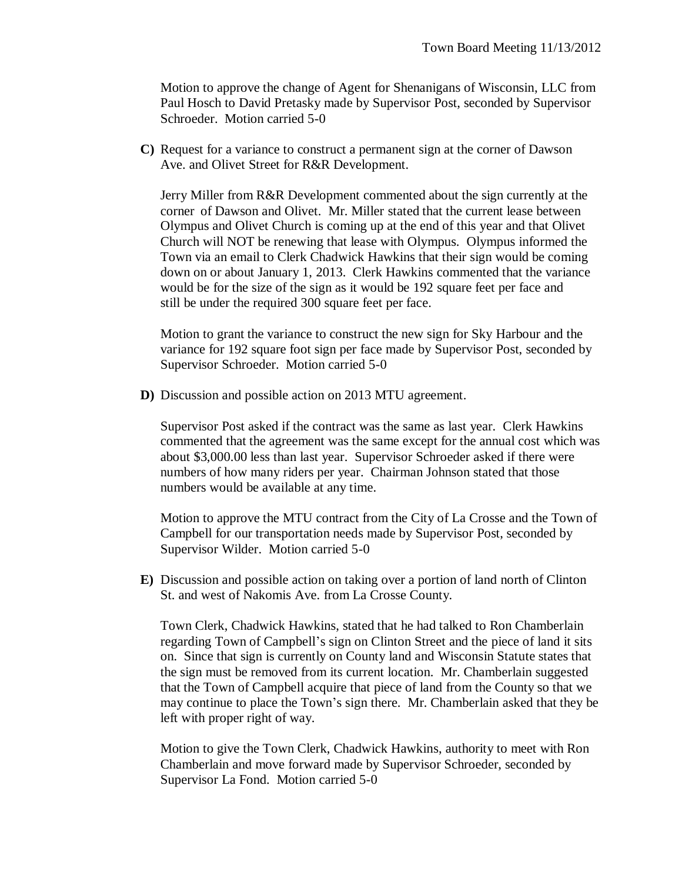Motion to approve the change of Agent for Shenanigans of Wisconsin, LLC from Paul Hosch to David Pretasky made by Supervisor Post, seconded by Supervisor Schroeder. Motion carried 5-0

**C)** Request for a variance to construct a permanent sign at the corner of Dawson Ave. and Olivet Street for R&R Development.

Jerry Miller from R&R Development commented about the sign currently at the corner of Dawson and Olivet. Mr. Miller stated that the current lease between Olympus and Olivet Church is coming up at the end of this year and that Olivet Church will NOT be renewing that lease with Olympus. Olympus informed the Town via an email to Clerk Chadwick Hawkins that their sign would be coming down on or about January 1, 2013. Clerk Hawkins commented that the variance would be for the size of the sign as it would be 192 square feet per face and still be under the required 300 square feet per face.

Motion to grant the variance to construct the new sign for Sky Harbour and the variance for 192 square foot sign per face made by Supervisor Post, seconded by Supervisor Schroeder. Motion carried 5-0

**D)** Discussion and possible action on 2013 MTU agreement.

Supervisor Post asked if the contract was the same as last year. Clerk Hawkins commented that the agreement was the same except for the annual cost which was about \$3,000.00 less than last year. Supervisor Schroeder asked if there were numbers of how many riders per year. Chairman Johnson stated that those numbers would be available at any time.

Motion to approve the MTU contract from the City of La Crosse and the Town of Campbell for our transportation needs made by Supervisor Post, seconded by Supervisor Wilder. Motion carried 5-0

**E)** Discussion and possible action on taking over a portion of land north of Clinton St. and west of Nakomis Ave. from La Crosse County.

Town Clerk, Chadwick Hawkins, stated that he had talked to Ron Chamberlain regarding Town of Campbell's sign on Clinton Street and the piece of land it sits on. Since that sign is currently on County land and Wisconsin Statute states that the sign must be removed from its current location. Mr. Chamberlain suggested that the Town of Campbell acquire that piece of land from the County so that we may continue to place the Town's sign there. Mr. Chamberlain asked that they be left with proper right of way.

Motion to give the Town Clerk, Chadwick Hawkins, authority to meet with Ron Chamberlain and move forward made by Supervisor Schroeder, seconded by Supervisor La Fond. Motion carried 5-0